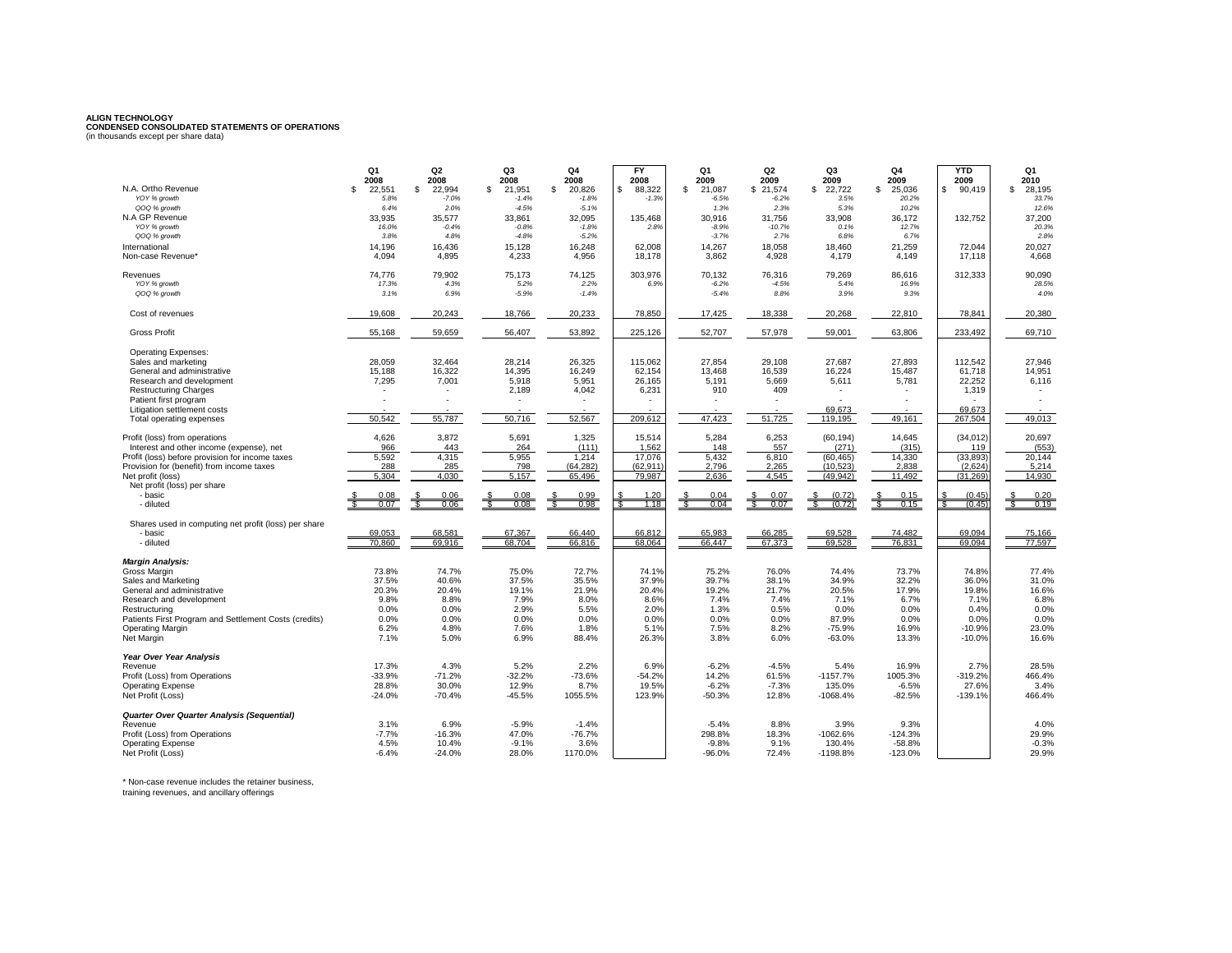## **ALIGN TECHNOLOGY CONDENSED CONSOLIDATED STATEMENTS OF OPERATIONS** (in thousands except per share data)

| N.A. Ortho Revenue                                                                          | Q <sub>1</sub><br>2008 | Q <sub>2</sub><br>2008  | Q3<br>2008              | Q4<br>2008              | <b>FY</b><br>2008       | Q1<br>2009              | Q <sub>2</sub><br>2009 | Q3<br>2009           | Q4<br>2009<br>$\mathfrak{L}$ | <b>YTD</b><br>2009 | Q1<br>2010            |
|---------------------------------------------------------------------------------------------|------------------------|-------------------------|-------------------------|-------------------------|-------------------------|-------------------------|------------------------|----------------------|------------------------------|--------------------|-----------------------|
| YOY % growth                                                                                | \$<br>22,551<br>5.8%   | \$<br>22,994<br>$-7.0%$ | £.<br>21,951<br>$-1.4%$ | \$<br>20,826<br>$-1.8%$ | 88,322<br>\$<br>$-1.3%$ | \$<br>21,087<br>$-6.5%$ | \$21,574<br>$-6.2%$    | \$<br>22,722<br>3.5% | 25,036<br>20.2%              | 90,419<br>\$       | 28,195<br>\$<br>33.7% |
| QOQ % growth<br>N.A GP Revenue                                                              | 6.4%<br>33,935         | 2.0%<br>35,577          | $-4.5%$<br>33,861       | $-5.1%$<br>32,095       | 135,468                 | 1.3%<br>30,916          | 2.3%<br>31,756         | 5.3%<br>33,908       | 10.2%<br>36,172              | 132,752            | 12.6%<br>37,200       |
| YOY % growth                                                                                | 16.0%                  | $-0.4%$                 | $-0.8%$                 | $-1.8%$                 | 2.8%                    | $-8.9%$                 | $-10.7%$               | 0.1%                 | 12.7%                        |                    | 20.3%                 |
| QOQ % growth                                                                                | 3.8%                   | 4.8%                    | $-4.8%$                 | $-5.2%$                 |                         | $-3.7%$                 | 2.7%                   | 6.8%                 | 6.7%                         |                    | 2.8%                  |
| International                                                                               | 14.196                 | 16.436                  | 15.128                  | 16,248                  | 62.008                  | 14.267                  | 18.058                 | 18.460               | 21.259                       | 72.044             | 20.027                |
| Non-case Revenue*                                                                           | 4.094                  | 4,895                   | 4,233                   | 4.956                   | 18.178                  | 3.862                   | 4.928                  | 4.179                | 4.149                        | 17.118             | 4.668                 |
| Revenues<br>YOY % growth                                                                    | 74,776<br>17.3%        | 79,902<br>4.3%          | 75,173<br>5.2%          | 74,125<br>2.2%          | 303,976<br>6.9%         | 70,132<br>$-6.2%$       | 76,316<br>$-4.5%$      | 79,269<br>5.4%       | 86,616<br>16.9%              | 312,333            | 90,090<br>28.5%       |
| QOQ % growth                                                                                | 3.1%                   | 6.9%                    | $-5.9%$                 | $-1.4%$                 |                         | $-5.4%$                 | 8.8%                   | 3.9%                 | 9.3%                         |                    | 4.0%                  |
| Cost of revenues                                                                            | 19,608                 | 20,243                  | 18,766                  | 20,233                  | 78,850                  | 17,425                  | 18,338                 | 20,268               | 22,810                       | 78,841             | 20,380                |
| <b>Gross Profit</b>                                                                         | 55,168                 | 59,659                  | 56,407                  | 53,892                  | 225,126                 | 52,707                  | 57,978                 | 59,001               | 63,806                       | 233,492            | 69,710                |
| <b>Operating Expenses:</b>                                                                  |                        |                         |                         |                         |                         |                         |                        |                      |                              |                    |                       |
| Sales and marketing                                                                         | 28.059                 | 32.464                  | 28.214                  | 26.325                  | 115.062                 | 27.854                  | 29.108                 | 27.687               | 27.893                       | 112.542            | 27.946                |
| General and administrative                                                                  | 15.188                 | 16.322                  | 14.395<br>5,918         | 16.249                  | 62.154                  | 13.468<br>5,191         | 16.539                 | 16.224               | 15.487                       | 61.718             | 14,951                |
| Research and development<br><b>Restructuring Charges</b>                                    | 7,295                  | 7,001                   | 2,189                   | 5,951<br>4,042          | 26,165<br>6,231         | 910                     | 5,669<br>409           | 5,611                | 5,781                        | 22,252<br>1,319    | 6,116                 |
| Patient first program                                                                       |                        | $\blacksquare$          | ٠                       | ٠                       |                         |                         |                        |                      |                              |                    |                       |
| Litigation settlement costs                                                                 |                        |                         |                         |                         |                         |                         |                        | 69.673               |                              | 69.673             |                       |
| Total operating expenses                                                                    | 50,542                 | 55,787                  | 50,716                  | 52,567                  | 209,612                 | 47,423                  | 51,725                 | 119,195              | 49,161                       | 267,504            | 49,013                |
| Profit (loss) from operations                                                               | 4,626                  | 3,872                   | 5,691                   | 1,325                   | 15,514                  | 5,284                   | 6,253                  | (60, 194)            | 14,645                       | (34, 012)          | 20,697                |
| Interest and other income (expense), net<br>Profit (loss) before provision for income taxes | 966<br>5,592           | 443<br>4,315            | 264<br>5,955            | (111)<br>1,214          | 1,562<br>17,076         | 148<br>5,432            | 557<br>6,810           | (271)<br>(60, 465)   | (315)<br>14,330              | 119<br>(33, 893)   | (553)<br>20,144       |
| Provision for (benefit) from income taxes                                                   | 288                    | 285                     | 798                     | (64, 282)               | (62.911)                | 2,796                   | 2.265                  | (10.523)             | 2.838                        | (2.624)            | 5,214                 |
| Net profit (loss)                                                                           | 5.304                  | 4.030                   | 5.157                   | 65.496                  | 79.987                  | 2.636                   | 4.545                  | (49.942)             | 11.492                       | (31.269)           | 14.930                |
| Net profit (loss) per share                                                                 |                        |                         |                         |                         |                         |                         |                        |                      |                              |                    |                       |
| - basic<br>- diluted                                                                        | 0.08<br>0.07           | 0.06<br>0.06            | 0.08<br>0.08            | 0.99<br>0.98            | 1.20<br>1.18            | 0.04<br>0.04            | 0.07<br>0.07           | (0.72)               | 0.15<br>0.15                 | (0.45)<br>(0.45)   | 0.20<br>0.19          |
|                                                                                             |                        |                         |                         |                         |                         |                         |                        |                      |                              |                    |                       |
| Shares used in computing net profit (loss) per share<br>- basic                             | 69.053                 | 68.581                  | 67.367                  | 66.440                  | 66.812                  | 65.983                  | 66.285                 | 69.528               | 74.482                       | 69.094             | 75.166                |
| - diluted                                                                                   | 70,860                 | 69.916                  | 68.704                  | 66,816                  | 68,064                  | 66.447                  | 67,373                 | 69,528               | 76,831                       | 69,094             | 77.597                |
| <b>Margin Analysis:</b>                                                                     |                        |                         |                         |                         |                         |                         |                        |                      |                              |                    |                       |
| Gross Margin                                                                                | 73.8%                  | 74.7%                   | 75.0%                   | 72.7%                   | 74.1%                   | 75.2%                   | 76.0%                  | 74.4%                | 73.7%                        | 74.8%              | 77.4%                 |
| Sales and Marketing                                                                         | 37.5%                  | 40.6%                   | 37.5%                   | 35.5%                   | 37.9%                   | 39.7%                   | 38.1%                  | 34.9%                | 32.2%                        | 36.0%              | 31.0%                 |
| General and administrative<br>Research and development                                      | 20.3%<br>9.8%          | 20.4%<br>8.8%           | 19.1%<br>7.9%           | 21.9%<br>8.0%           | 20.4%<br>8.6%           | 19.2%<br>7.4%           | 21.7%<br>7.4%          | 20.5%<br>7.1%        | 17.9%<br>6.7%                | 19.8%<br>7.1%      | 16.6%<br>6.8%         |
| Restructuring                                                                               | 0.0%                   | 0.0%                    | 2.9%                    | 5.5%                    | 2.0%                    | 1.3%                    | 0.5%                   | 0.0%                 | 0.0%                         | 0.4%               | 0.0%                  |
| Patients First Program and Settlement Costs (credits)                                       | 0.0%                   | 0.0%                    | 0.0%                    | 0.0%                    | 0.0%                    | 0.0%                    | 0.0%                   | 87.9%                | 0.0%                         | 0.0%               | 0.0%                  |
| <b>Operating Margin</b>                                                                     | 6.2%                   | 4.8%                    | 7.6%                    | 1.8%                    | 5.1%                    | 7.5%                    | 8.2%                   | $-75.9%$             | 16.9%                        | $-10.9%$           | 23.0%                 |
| Net Margin                                                                                  | 7.1%                   | 5.0%                    | 6.9%                    | 88.4%                   | 26.3%                   | 3.8%                    | 6.0%                   | $-63.0%$             | 13.3%                        | $-10.0%$           | 16.6%                 |
| Year Over Year Analysis                                                                     |                        |                         |                         |                         |                         |                         |                        |                      |                              |                    |                       |
| Revenue<br>Profit (Loss) from Operations                                                    | 17.3%<br>$-33.9%$      | 4.3%<br>$-71.2%$        | 5.2%<br>$-32.2%$        | 2.2%<br>$-73.6%$        | 6.9%<br>$-54.2%$        | $-6.2%$<br>14.2%        | $-4.5%$<br>61.5%       | 5.4%<br>$-1157.7%$   | 16.9%<br>1005.3%             | 2.7%<br>$-319.2%$  | 28.5%<br>466.4%       |
| <b>Operating Expense</b>                                                                    | 28.8%                  | 30.0%                   | 12.9%                   | 8.7%                    | 19.5%                   | $-6.2%$                 | $-7.3%$                | 135.0%               | $-6.5%$                      | 27.6%              | 3.4%                  |
| Net Profit (Loss)                                                                           | $-24.0%$               | $-70.4%$                | $-45.5%$                | 1055.5%                 | 123.9%                  | $-50.3%$                | 12.8%                  | $-1068.4%$           | $-82.5%$                     | $-139.1%$          | 466.4%                |
| Quarter Over Quarter Analysis (Sequential)                                                  |                        |                         |                         |                         |                         |                         |                        |                      |                              |                    |                       |
| Revenue                                                                                     | 3.1%                   | 6.9%                    | $-5.9%$                 | $-1.4%$                 |                         | $-5.4%$                 | 8.8%                   | 3.9%                 | 9.3%                         |                    | 4.0%                  |
| Profit (Loss) from Operations                                                               | $-7.7%$                | $-16.3%$                | 47.0%                   | $-76.7%$                |                         | 298.8%                  | 18.3%                  | -1062.6%             | $-124.3%$                    |                    | 29.9%                 |
| <b>Operating Expense</b><br>Net Profit (Loss)                                               | 4.5%<br>$-6.4%$        | 10.4%<br>$-24.0%$       | $-9.1%$<br>28.0%        | 3.6%<br>1170.0%         |                         | $-9.8%$<br>$-96.0%$     | 9.1%<br>72.4%          | 130.4%<br>-1198.8%   | $-58.8%$<br>$-123.0%$        |                    | $-0.3%$<br>29.9%      |
|                                                                                             |                        |                         |                         |                         |                         |                         |                        |                      |                              |                    |                       |

\* Non-case revenue includes the retainer business,

training revenues, and ancillary offerings